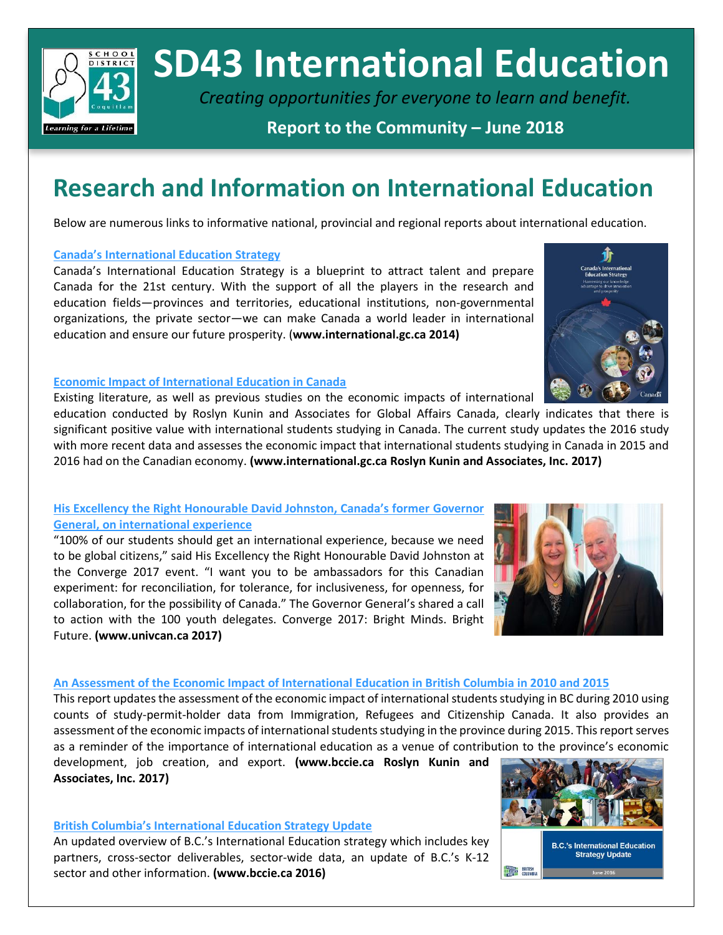

# **SD43 International Education**

*Creating opportunities for everyone to learn and benefit.*

### **Report to the Community – June 2018**

## **Research and Information on International Education**

Below are numerous links to informative national, provincial and regional reports about international education.

#### **[Canada's International Education Strategy](http://international.gc.ca/global-markets-marches-mondiaux/assets/pdfs/overview-apercu-eng.pdf)**

Canada's International Education Strategy is a blueprint to attract talent and prepare Canada for the 21st century. With the support of all the players in the research and education fields—provinces and territories, educational institutions, non-governmental organizations, the private sector—we can make Canada a world leader in international education and ensure our future prosperity. (**www.international.gc.ca 2014)**



#### **[Economic Impact of International Education in Canada](http://www.international.gc.ca/education/assets/pdfs/Economic_Impact_International_Education_in_Canada_2017.pdf)**

Existing literature, as well as previous studies on the economic impacts of international

education conducted by Roslyn Kunin and Associates for Global Affairs Canada, clearly indicates that there is significant positive value with international students studying in Canada. The current study updates the 2016 study with more recent data and assesses the economic impact that international students studying in Canada in 2015 and 2016 had on the Canadian economy. **(www.international.gc.ca Roslyn Kunin and Associates, Inc. 2017)**

#### **[His Excellency the Right Honourable David Johnston, Canada's former](https://www.univcan.ca/media-room/videos/governor-general-canada-possibility-canada-call-action/) Governor General, [on international experience](https://www.univcan.ca/media-room/videos/governor-general-canada-possibility-canada-call-action/)**

"100% of our students should get an international experience, because we need to be global citizens," said His Excellency the Right Honourable David Johnston at the Converge 2017 event. "I want you to be ambassadors for this Canadian experiment: for reconciliation, for tolerance, for inclusiveness, for openness, for collaboration, for the possibility of Canada." The Governor General's shared a call to action with the 100 youth delegates. Converge 2017: Bright Minds. Bright Future. **(www.univcan.ca 2017)**

#### **[An Assessment of the Economic Impact of International Education in British Columbia in 2010 and 2015](http://bccie.bc.ca/wp-content/uploads/2017/02/RKA-International-education-Rpt-to-BCCIE-final-revised-1.pdf)**

This report updates the assessment of the economic impact of international students studying in BC during 2010 using counts of study-permit-holder data from Immigration, Refugees and Citizenship Canada. It also provides an assessment of the economic impacts of international students studying in the province during 2015. This report serves as a reminder of the importance of international education as a venue of contribution to the province's economic

development, job creation, and export. **(www.bccie.ca Roslyn Kunin and Associates, Inc. 2017)**

#### **[British Columbia's International Education Strategy Update](http://bccie.bc.ca/wp-content/uploads/2016/06/bc-update.pdf)**

An updated overview of B.C.'s International Education strategy which includes key partners, cross-sector deliverables, sector-wide data, an update of B.C.'s K-12 sector and other information. **(www.bccie.ca 2016)**